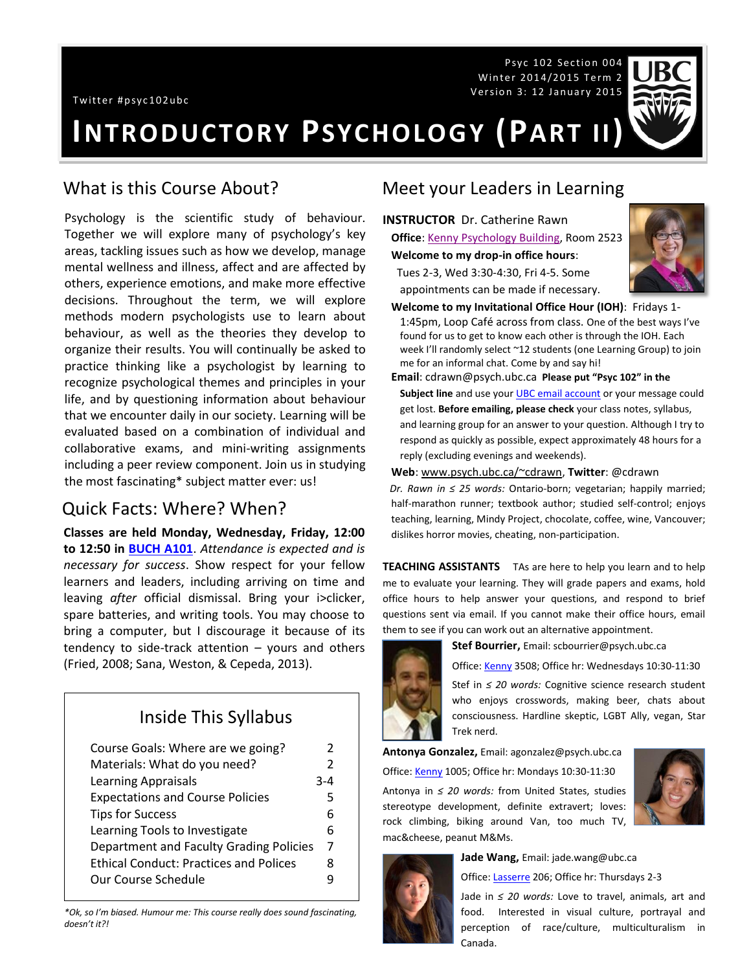Psyc 102 Section 004 Winter 2014/2015 Term 2 Version 3: 12 January 2015



# **INTRODUCTORY PSYCHOLOGY (PART II)**

#### What is this Course About?

Psychology is the scientific study of behaviour. Together we will explore many of psychology's key areas, tackling issues such as how we develop, manage mental wellness and illness, affect and are affected by others, experience emotions, and make more effective decisions. Throughout the term, we will explore methods modern psychologists use to learn about behaviour, as well as the theories they develop to organize their results. You will continually be asked to practice thinking like a psychologist by learning to recognize psychological themes and principles in your life, and by questioning information about behaviour that we encounter daily in our society. Learning will be evaluated based on a combination of individual and collaborative exams, and mini-writing assignments including a peer review component. Join us in studying the most fascinating\* subject matter ever: us!

#### Quick Facts: Where? When?

**Classes are held Monday, Wednesday, Friday, 12:00 to 12:50 in [BUCH A101](http://www.maps.ubc.ca/PROD/index_detail.php?show=y,n,n,n,n,y&bldg2Search=n&locat1=121-1)**. *Attendance is expected and is necessary for success*. Show respect for your fellow learners and leaders, including arriving on time and leaving *after* official dismissal. Bring your i>clicker, spare batteries, and writing tools. You may choose to bring a computer, but I discourage it because of its tendency to side-track attention – yours and others (Fried, 2008; Sana, Weston, & Cepeda, 2013).

## Inside This Syllabus

| Course Goals: Where are we going?             | 2              |
|-----------------------------------------------|----------------|
| Materials: What do you need?                  | 2              |
| <b>Learning Appraisals</b>                    | 3-4            |
| <b>Expectations and Course Policies</b>       | 5              |
| <b>Tips for Success</b>                       | 6              |
| Learning Tools to Investigate                 | 6              |
| Department and Faculty Grading Policies       | $\overline{7}$ |
| <b>Ethical Conduct: Practices and Polices</b> | 8              |
| Our Course Schedule                           |                |

*\*Ok, so I'm biased. Humour me: This course really does sound fascinating, doesn't it?!*

#### Meet your Leaders in Learning

**INSTRUCTOR** Dr. Catherine Rawn **Office**: [Kenny Psychology Building,](http://www.maps.ubc.ca/PROD/index_detail.php?locat1=732) Room 2523

**Welcome to my drop-in office hours**:

 Tues 2-3, Wed 3:30-4:30, Fri 4-5. Some appointments can be made if necessary.



- **Welcome to my Invitational Office Hour (IOH)**: Fridays 1- 1:45pm, Loop Café across from class. One of the best ways I've found for us to get to know each other is through the IOH. Each week I'll randomly select ~12 students (one Learning Group) to join me for an informal chat. Come by and say hi!
- **Email**: cdrawn@psych.ubc.ca **Please put "Psyc 102" in the**  Subject line and use your **UBC** email account or your message could get lost. **Before emailing, please check** your class notes, syllabus, and learning group for an answer to your question. Although I try to respond as quickly as possible, expect approximately 48 hours for a reply (excluding evenings and weekends).

#### **Web**[: www.psych.ubc.ca/~cdrawn,](http://www.psych.ubc.ca/~cdrawn) **Twitter**: @cdrawn

*Dr. Rawn in ≤ 25 words:* Ontario-born; vegetarian; happily married; half-marathon runner; textbook author; studied self-control; enjoys teaching, learning, Mindy Project, chocolate, coffee, wine, Vancouver; dislikes horror movies, cheating, non-participation.

**TEACHING ASSISTANTS** TAs are here to help you learn and to help me to evaluate your learning. They will grade papers and exams, hold office hours to help answer your questions, and respond to brief questions sent via email. If you cannot make their office hours, email them to see if you can work out an alternative appointment.



**Stef Bourrier,** Email: scbourrier@psych.ubc.ca

Office: [Kenny](http://www.maps.ubc.ca/PROD/index_detail.php?show=y,n,n,n,n,y&bldg2Search=n&locat1=732) 3508; Office hr: Wednesdays 10:30-11:30

Stef in *≤ 20 words:* Cognitive science research student who enjoys crosswords, making beer, chats about consciousness. Hardline skeptic, LGBT Ally, vegan, Star Trek nerd.

**Antonya Gonzalez,** Email: agonzalez@psych.ubc.ca Office[: Kenny](http://www.maps.ubc.ca/PROD/index_detail.php?show=y,n,n,n,n,y&bldg2Search=n&locat1=732) 1005; Office hr: Mondays 10:30-11:30 Antonya in *≤ 20 words:* from United States, studies stereotype development, definite extravert; loves: rock climbing, biking around Van, too much TV, mac&cheese, peanut M&Ms.





**Jade Wang,** Email: jade.wang@ubc.ca Office[: Lasserre](http://www.maps.ubc.ca/PROD/index_detail.php?locat1=028) 206; Office hr: Thursdays 2-3

Jade in *≤ 20 words:* Love to travel, animals, art and food. Interested in visual culture, portrayal and perception of race/culture, multiculturalism in Canada.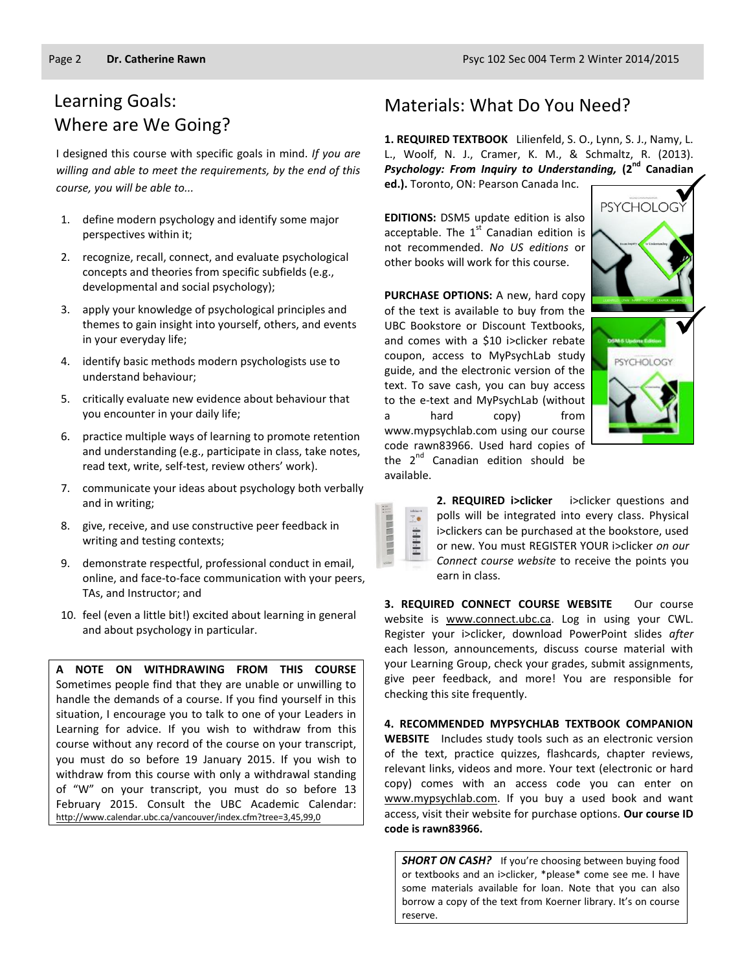## Learning Goals: Where are We Going?

I designed this course with specific goals in mind. *If you are willing and able to meet the requirements, by the end of this course, you will be able to...*

- 1. define modern psychology and identify some major perspectives within it;
- 2. recognize, recall, connect, and evaluate psychological concepts and theories from specific subfields (e.g., developmental and social psychology);
- 3. apply your knowledge of psychological principles and themes to gain insight into yourself, others, and events in your everyday life;
- 4. identify basic methods modern psychologists use to understand behaviour;
- 5. critically evaluate new evidence about behaviour that you encounter in your daily life;
- 6. practice multiple ways of learning to promote retention and understanding (e.g., participate in class, take notes, read text, write, self-test, review others' work).
- 7. communicate your ideas about psychology both verbally and in writing;
- 8. give, receive, and use constructive peer feedback in writing and testing contexts;
- 9. demonstrate respectful, professional conduct in email, online, and face-to-face communication with your peers, TAs, and Instructor; and
- 10. feel (even a little bit!) excited about learning in general and about psychology in particular.

**A NOTE ON WITHDRAWING FROM THIS COURSE**  Sometimes people find that they are unable or unwilling to handle the demands of a course. If you find yourself in this situation, I encourage you to talk to one of your Leaders in Learning for advice. If you wish to withdraw from this course without any record of the course on your transcript, you must do so before 19 January 2015. If you wish to withdraw from this course with only a withdrawal standing of "W" on your transcript, you must do so before 13 February 2015. Consult the UBC Academic Calendar: <http://www.calendar.ubc.ca/vancouver/index.cfm?tree=3,45,99,0>

#### Materials: What Do You Need?

**1. REQUIRED TEXTBOOK** Lilienfeld, S. O., Lynn, S. J., Namy, L. L., Woolf, N. J., Cramer, K. M., & Schmaltz, R. (2013). *Psychology: From Inquiry to Understanding,* **(2nd Canadian ed.).** Toronto, ON: Pearson Canada Inc.

**EDITIONS:** DSM5 update edition is also acceptable. The  $1<sup>st</sup>$  Canadian edition is not recommended. *No US editions* or other books will work for this course.

**PURCHASE OPTIONS:** A new, hard copy of the text is available to buy from the UBC Bookstore or Discount Textbooks, and comes with a \$10 i>clicker rebate coupon, access to MyPsychLab study guide, and the electronic version of the text. To save cash, you can buy access to the e-text and MyPsychLab (without a hard copy) from www.mypsychlab.com using our course code rawn83966. Used hard copies of the 2<sup>nd</sup> Canadian edition should be available.



|          | ı<br>ichtiar 4 |
|----------|----------------|
|          |                |
|          |                |
|          |                |
|          |                |
|          |                |
| u<br>130 |                |

**2. REQUIRED i>clicker** i>clicker questions and polls will be integrated into every class. Physical i>clickers can be purchased at the bookstore, used or new. You must REGISTER YOUR i>clicker *on our Connect course website* to receive the points you earn in class.

**3. REQUIRED CONNECT COURSE WEBSITE** Our course website is [www.connect.ubc.ca.](http://elearning.ubc.ca/connect/) Log in using your CWL. Register your i>clicker, download PowerPoint slides *after*  each lesson, announcements, discuss course material with your Learning Group, check your grades, submit assignments, give peer feedback, and more! You are responsible for checking this site frequently.

**4. RECOMMENDED MYPSYCHLAB TEXTBOOK COMPANION WEBSITE** Includes study tools such as an electronic version of the text, practice quizzes, flashcards, chapter reviews, relevant links, videos and more. Your text (electronic or hard copy) comes with an access code you can enter on [www.mypsychlab.com.](http://www.mypsychlab.com/) If you buy a used book and want access, visit their website for purchase options. **Our course ID code is rawn83966.**

**SHORT ON CASH?** If you're choosing between buying food or textbooks and an i>clicker, \*please\* come see me. I have some materials available for loan. Note that you can also borrow a copy of the text from Koerner library. It's on course reserve.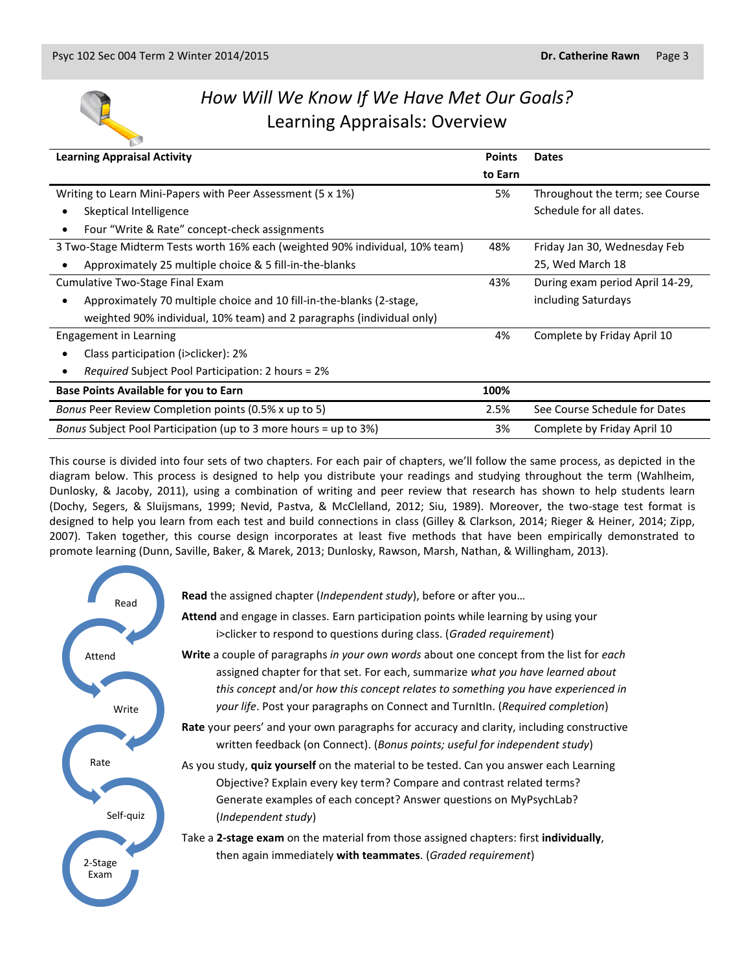

## *How Will We Know If We Have Met Our Goals?* Learning Appraisals: Overview

| <b>Learning Appraisal Activity</b>                                                | <b>Points</b> | <b>Dates</b>                    |
|-----------------------------------------------------------------------------------|---------------|---------------------------------|
|                                                                                   | to Earn       |                                 |
| Writing to Learn Mini-Papers with Peer Assessment (5 x 1%)                        | 5%            | Throughout the term; see Course |
| Skeptical Intelligence                                                            |               | Schedule for all dates.         |
| Four "Write & Rate" concept-check assignments<br>$\bullet$                        |               |                                 |
| 3 Two-Stage Midterm Tests worth 16% each (weighted 90% individual, 10% team)      | 48%           | Friday Jan 30, Wednesday Feb    |
| Approximately 25 multiple choice & 5 fill-in-the-blanks                           |               | 25, Wed March 18                |
| Cumulative Two-Stage Final Exam                                                   | 43%           | During exam period April 14-29, |
| Approximately 70 multiple choice and 10 fill-in-the-blanks (2-stage,<br>$\bullet$ |               | including Saturdays             |
| weighted 90% individual, 10% team) and 2 paragraphs (individual only)             |               |                                 |
| Engagement in Learning                                                            |               | Complete by Friday April 10     |
| Class participation (i>clicker): 2%<br>٠                                          |               |                                 |
| <i>Required</i> Subject Pool Participation: 2 hours = 2%                          |               |                                 |
| <b>Base Points Available for you to Earn</b>                                      | 100%          |                                 |
| Bonus Peer Review Completion points (0.5% x up to 5)                              | 2.5%          | See Course Schedule for Dates   |
| Bonus Subject Pool Participation (up to 3 more hours = up to 3%)                  | 3%            | Complete by Friday April 10     |

This course is divided into four sets of two chapters. For each pair of chapters, we'll follow the same process, as depicted in the diagram below. This process is designed to help you distribute your readings and studying throughout the term (Wahlheim, Dunlosky, & Jacoby, 2011), using a combination of writing and peer review that research has shown to help students learn (Dochy, Segers, & Sluijsmans, 1999; Nevid, Pastva, & McClelland, 2012; Siu, 1989). Moreover, the two-stage test format is designed to help you learn from each test and build connections in class (Gilley & Clarkson, 2014; Rieger & Heiner, 2014; Zipp, 2007). Taken together, this course design incorporates at least five methods that have been empirically demonstrated to promote learning (Dunn, Saville, Baker, & Marek, 2013; Dunlosky, Rawson, Marsh, Nathan, & Willingham, 2013).

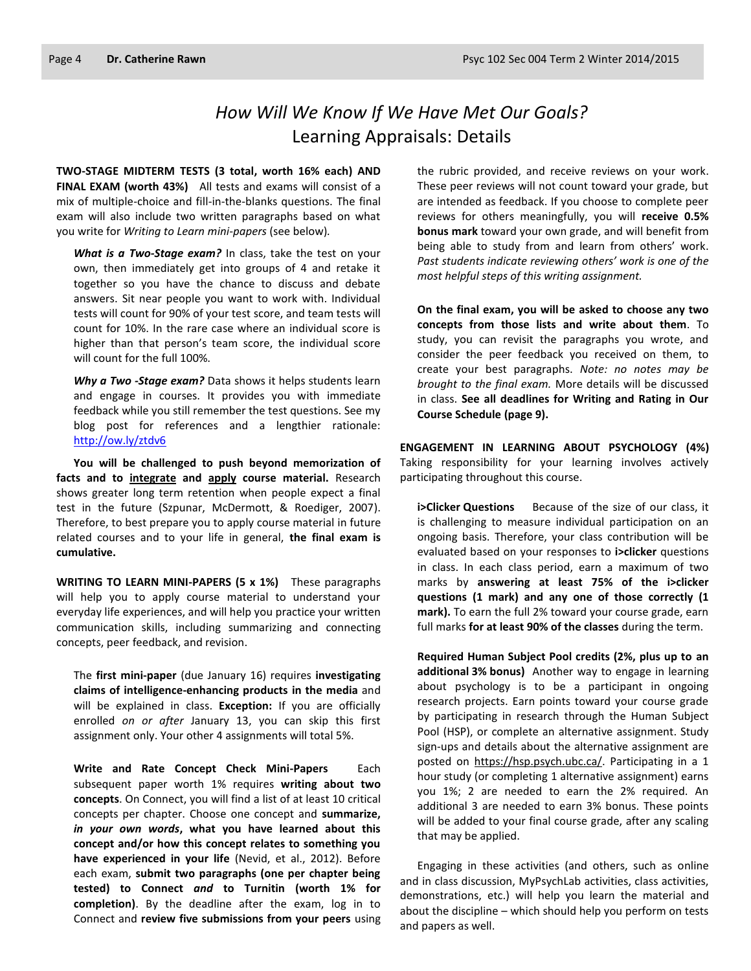## *How Will We Know If We Have Met Our Goals?* Learning Appraisals: Details

**TWO-STAGE MIDTERM TESTS (3 total, worth 16% each) AND FINAL EXAM (worth 43%)** All tests and exams will consist of a mix of multiple-choice and fill-in-the-blanks questions. The final exam will also include two written paragraphs based on what you write for *Writing to Learn mini-papers* (see below)*.*

*What is a Two-Stage exam?* In class, take the test on your own, then immediately get into groups of 4 and retake it together so you have the chance to discuss and debate answers. Sit near people you want to work with. Individual tests will count for 90% of your test score, and team tests will count for 10%. In the rare case where an individual score is higher than that person's team score, the individual score will count for the full 100%.

*Why a Two -Stage exam?* Data shows it helps students learn and engage in courses. It provides you with immediate feedback while you still remember the test questions. See my blog post for references and a lengthier rationale: <http://ow.ly/ztdv6>

**You will be challenged to push beyond memorization of facts and to integrate and apply course material.** Research shows greater long term retention when people expect a final test in the future (Szpunar, McDermott, & Roediger, 2007). Therefore, to best prepare you to apply course material in future related courses and to your life in general, **the final exam is cumulative.**

**WRITING TO LEARN MINI-PAPERS (5 x 1%)** These paragraphs will help you to apply course material to understand your everyday life experiences, and will help you practice your written communication skills, including summarizing and connecting concepts, peer feedback, and revision.

The **first mini-paper** (due January 16) requires **investigating claims of intelligence-enhancing products in the media** and will be explained in class. **Exception:** If you are officially enrolled *on or after* January 13, you can skip this first assignment only. Your other 4 assignments will total 5%.

**Write and Rate Concept Check Mini-Papers** Each subsequent paper worth 1% requires **writing about two concepts**. On Connect, you will find a list of at least 10 critical concepts per chapter. Choose one concept and **summarize,**  *in your own words***, what you have learned about this concept and/or how this concept relates to something you have experienced in your life** (Nevid, et al., 2012). Before each exam, **submit two paragraphs (one per chapter being tested) to Connect** *and* **to Turnitin (worth 1% for completion)**. By the deadline after the exam, log in to Connect and **review five submissions from your peers** using the rubric provided, and receive reviews on your work. These peer reviews will not count toward your grade, but are intended as feedback. If you choose to complete peer reviews for others meaningfully, you will **receive 0.5% bonus mark** toward your own grade, and will benefit from being able to study from and learn from others' work. *Past students indicate reviewing others' work is one of the most helpful steps of this writing assignment.*

**On the final exam, you will be asked to choose any two concepts from those lists and write about them**. To study, you can revisit the paragraphs you wrote, and consider the peer feedback you received on them, to create your best paragraphs. *Note: no notes may be brought to the final exam.* More details will be discussed in class. **See all deadlines for Writing and Rating in Our Course Schedule (page 9).**

**ENGAGEMENT IN LEARNING ABOUT PSYCHOLOGY (4%)** Taking responsibility for your learning involves actively participating throughout this course.

**i>Clicker Questions** Because of the size of our class, it is challenging to measure individual participation on an ongoing basis. Therefore, your class contribution will be evaluated based on your responses to **i>clicker** questions in class. In each class period, earn a maximum of two marks by **answering at least 75% of the i>clicker questions (1 mark) and any one of those correctly (1 mark).** To earn the full 2% toward your course grade, earn full marks **for at least 90% of the classes** during the term.

**Required Human Subject Pool credits (2%, plus up to an additional 3% bonus)** Another way to engage in learning about psychology is to be a participant in ongoing research projects. Earn points toward your course grade by participating in research through the Human Subject Pool (HSP), or complete an alternative assignment. Study sign-ups and details about the alternative assignment are posted on [https://hsp.psych.ubc.ca/.](https://hsp.psych.ubc.ca/) Participating in a 1 hour study (or completing 1 alternative assignment) earns you 1%; 2 are needed to earn the 2% required. An additional 3 are needed to earn 3% bonus. These points will be added to your final course grade, after any scaling that may be applied.

Engaging in these activities (and others, such as online and in class discussion, MyPsychLab activities, class activities, demonstrations, etc.) will help you learn the material and about the discipline – which should help you perform on tests and papers as well.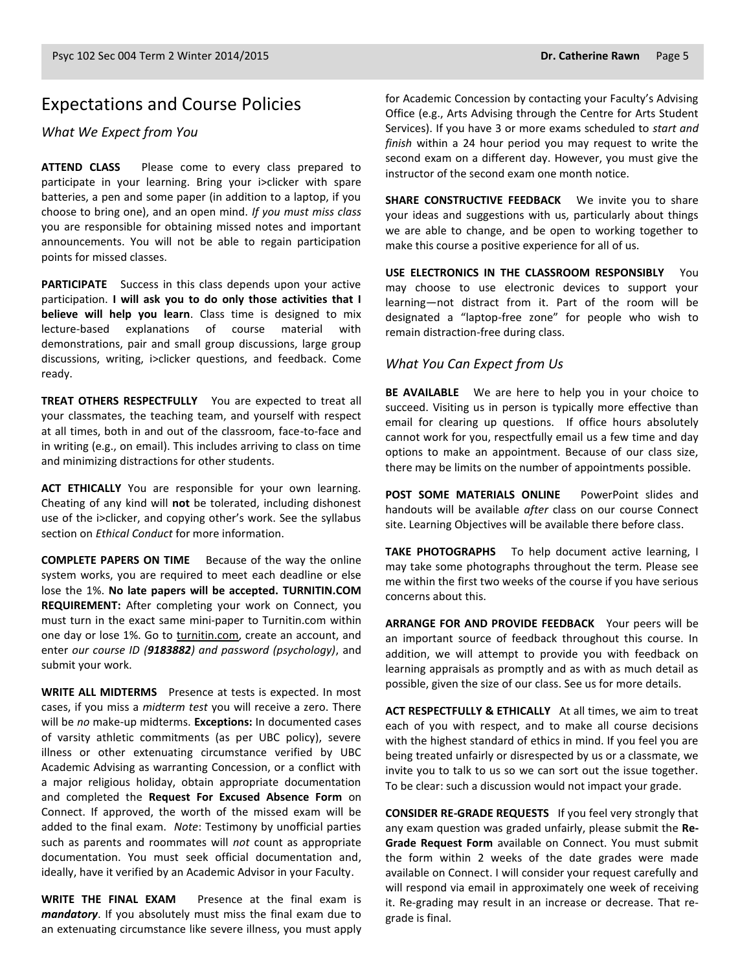## Expectations and Course Policies

#### *What We Expect from You*

**ATTEND CLASS** Please come to every class prepared to participate in your learning. Bring your i>clicker with spare batteries, a pen and some paper (in addition to a laptop, if you choose to bring one), and an open mind. *If you must miss class* you are responsible for obtaining missed notes and important announcements. You will not be able to regain participation points for missed classes.

**PARTICIPATE** Success in this class depends upon your active participation. **I will ask you to do only those activities that I believe will help you learn**. Class time is designed to mix lecture-based explanations of course material with demonstrations, pair and small group discussions, large group discussions, writing, i>clicker questions, and feedback. Come ready.

**TREAT OTHERS RESPECTFULLY** You are expected to treat all your classmates, the teaching team, and yourself with respect at all times, both in and out of the classroom, face-to-face and in writing (e.g., on email). This includes arriving to class on time and minimizing distractions for other students.

**ACT ETHICALLY** You are responsible for your own learning. Cheating of any kind will **not** be tolerated, including dishonest use of the i>clicker, and copying other's work. See the syllabus section on *Ethical Conduct* for more information.

**COMPLETE PAPERS ON TIME** Because of the way the online system works, you are required to meet each deadline or else lose the 1%. **No late papers will be accepted. TURNITIN.COM REQUIREMENT:** After completing your work on Connect, you must turn in the exact same mini-paper to Turnitin.com within one day or lose 1%. Go to [turnitin.com,](http://www.turnitin.com/) create an account, and enter *our course ID (9183882) and password (psychology)*, and submit your work.

**WRITE ALL MIDTERMS** Presence at tests is expected. In most cases, if you miss a *midterm test* you will receive a zero. There will be *no* make-up midterms. **Exceptions:** In documented cases of varsity athletic commitments (as per UBC policy), severe illness or other extenuating circumstance verified by UBC Academic Advising as warranting Concession, or a conflict with a major religious holiday, obtain appropriate documentation and completed the **Request For Excused Absence Form** on Connect. If approved, the worth of the missed exam will be added to the final exam. *Note*: Testimony by unofficial parties such as parents and roommates will *not* count as appropriate documentation. You must seek official documentation and, ideally, have it verified by an Academic Advisor in your Faculty.

**WRITE THE FINAL EXAM** Presence at the final exam is *mandatory*. If you absolutely must miss the final exam due to an extenuating circumstance like severe illness, you must apply for Academic Concession by contacting your Faculty's Advising Office (e.g., Arts Advising through the Centre for Arts Student Services). If you have 3 or more exams scheduled to *start and finish* within a 24 hour period you may request to write the second exam on a different day. However, you must give the instructor of the second exam one month notice.

**SHARE CONSTRUCTIVE FEEDBACK** We invite you to share your ideas and suggestions with us, particularly about things we are able to change, and be open to working together to make this course a positive experience for all of us.

**USE ELECTRONICS IN THE CLASSROOM RESPONSIBLY** You may choose to use electronic devices to support your learning—not distract from it. Part of the room will be designated a "laptop-free zone" for people who wish to remain distraction-free during class.

#### *What You Can Expect from Us*

**BE AVAILABLE** We are here to help you in your choice to succeed. Visiting us in person is typically more effective than email for clearing up questions. If office hours absolutely cannot work for you, respectfully email us a few time and day options to make an appointment. Because of our class size, there may be limits on the number of appointments possible.

**POST SOME MATERIALS ONLINE** PowerPoint slides and handouts will be available *after* class on our course Connect site. Learning Objectives will be available there before class.

**TAKE PHOTOGRAPHS** To help document active learning, I may take some photographs throughout the term. Please see me within the first two weeks of the course if you have serious concerns about this.

**ARRANGE FOR AND PROVIDE FEEDBACK** Your peers will be an important source of feedback throughout this course. In addition, we will attempt to provide you with feedback on learning appraisals as promptly and as with as much detail as possible, given the size of our class. See us for more details.

**ACT RESPECTFULLY & ETHICALLY** At all times, we aim to treat each of you with respect, and to make all course decisions with the highest standard of ethics in mind. If you feel you are being treated unfairly or disrespected by us or a classmate, we invite you to talk to us so we can sort out the issue together. To be clear: such a discussion would not impact your grade.

**CONSIDER RE-GRADE REQUESTS** If you feel very strongly that any exam question was graded unfairly, please submit the **Re-Grade Request Form** available on Connect. You must submit the form within 2 weeks of the date grades were made available on Connect. I will consider your request carefully and will respond via email in approximately one week of receiving it. Re-grading may result in an increase or decrease. That regrade is final.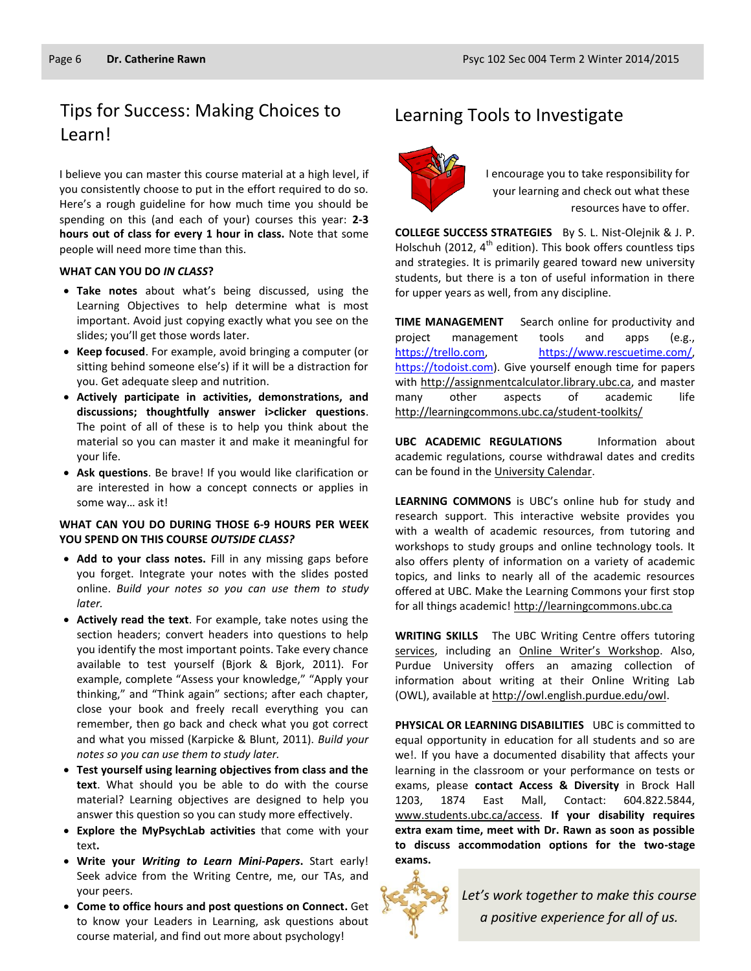## Tips for Success: Making Choices to Learning Tools to Investigate Learn!

I believe you can master this course material at a high level, if you consistently choose to put in the effort required to do so. Here's a rough guideline for how much time you should be spending on this (and each of your) courses this year: **2-3 hours out of class for every 1 hour in class.** Note that some people will need more time than this.

#### **WHAT CAN YOU DO** *IN CLASS***?**

- **Take notes** about what's being discussed, using the Learning Objectives to help determine what is most important. Avoid just copying exactly what you see on the slides; you'll get those words later.
- **Keep focused**. For example, avoid bringing a computer (or sitting behind someone else's) if it will be a distraction for you. Get adequate sleep and nutrition.
- **Actively participate in activities, demonstrations, and discussions; thoughtfully answer i>clicker questions**. The point of all of these is to help you think about the material so you can master it and make it meaningful for your life.
- **Ask questions**. Be brave! If you would like clarification or are interested in how a concept connects or applies in some way… ask it!

#### **WHAT CAN YOU DO DURING THOSE 6-9 HOURS PER WEEK YOU SPEND ON THIS COURSE** *OUTSIDE CLASS?*

- **Add to your class notes.** Fill in any missing gaps before you forget. Integrate your notes with the slides posted online. *Build your notes so you can use them to study later.*
- **Actively read the text**. For example, take notes using the section headers; convert headers into questions to help you identify the most important points. Take every chance available to test yourself (Bjork & Bjork, 2011). For example, complete "Assess your knowledge," "Apply your thinking," and "Think again" sections; after each chapter, close your book and freely recall everything you can remember, then go back and check what you got correct and what you missed (Karpicke & Blunt, 2011). *Build your notes so you can use them to study later.*
- **Test yourself using learning objectives from class and the text**. What should you be able to do with the course material? Learning objectives are designed to help you answer this question so you can study more effectively.
- **Explore the MyPsychLab activities** that come with your text**.**
- **Write your** *Writing to Learn Mini-Papers***.** Start early! Seek advice from the Writing Centre, me, our TAs, and your peers.
- **Come to office hours and post questions on Connect.** Get to know your Leaders in Learning, ask questions about course material, and find out more about psychology!



I encourage you to take responsibility for your learning and check out what these resources have to offer.

**COLLEGE SUCCESS STRATEGIES** By S. L. Nist-Olejnik & J. P. Holschuh (2012,  $4^{th}$  edition). This book offers countless tips and strategies. It is primarily geared toward new university students, but there is a ton of useful information in there for upper years as well, from any discipline.

**TIME MANAGEMENT** Search online for productivity and project management tools and apps (e.g., [https://trello.com,](https://trello.com/) [https://www.rescuetime.com/,](https://www.rescuetime.com/)  [https://todoist.com\)](https://todoist.com/). Give yourself enough time for papers with [http://assignmentcalculator.library.ubc.ca,](http://assignmentcalculator.library.ubc.ca/) and master many other aspects of academic life <http://learningcommons.ubc.ca/student-toolkits/>

**UBC ACADEMIC REGULATIONS** Information about academic regulations, course withdrawal dates and credits can be found in th[e University Calendar.](http://students.ubc.ca/calendar/academicyear.cfm)

**LEARNING COMMONS** is UBC's online hub for study and research support. This interactive website provides you with a wealth of academic resources, from tutoring and workshops to study groups and online technology tools. It also offers plenty of information on a variety of academic topics, and links to nearly all of the academic resources offered at UBC. Make the Learning Commons your first stop for all things academic! [http://learningcommons.ubc.ca](http://learningcommons.ubc.ca/)

**WRITING SKILLS** The UBC Writing Centre offers tutoring [services,](http://cstudies.ubc.ca/writing/resources.html) including an [Online Writer's Workshop](http://www.writingcentre.ubc.ca/workshop/index.html). Also, Purdue University offers an amazing collection of information about writing at their Online Writing Lab (OWL), available a[t http://owl.english.purdue.edu/owl.](http://owl.english.purdue.edu/owl/)

**PHYSICAL OR LEARNING DISABILITIES** UBC is committed to equal opportunity in education for all students and so are we!. If you have a documented disability that affects your learning in the classroom or your performance on tests or exams, please **contact Access & Diversity** in Brock Hall 1203, 1874 East Mall, Contact: 604.822.5844, [www.students.ubc.ca/access.](http://www.students.ubc.ca/access) **If your disability requires extra exam time, meet with Dr. Rawn as soon as possible to discuss accommodation options for the two-stage exams.**



*Let's work together to make this course a positive experience for all of us.*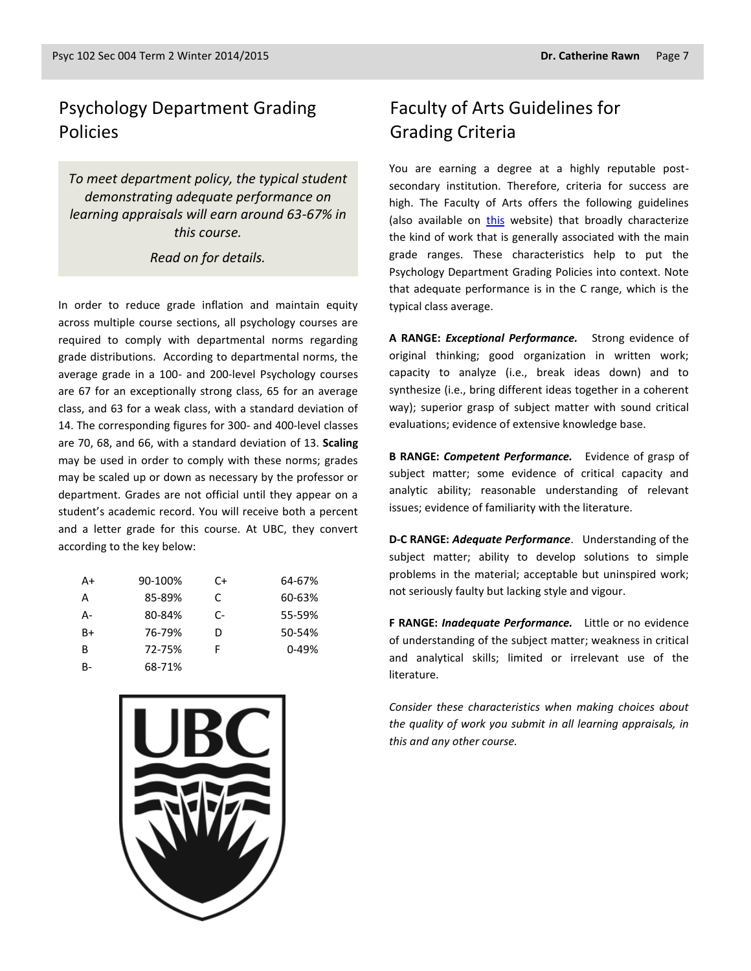## Psychology Department Grading Policies

*To meet department policy, the typical student demonstrating adequate performance on learning appraisals will earn around 63-67% in this course.* 

#### *Read on for details.*

In order to reduce grade inflation and maintain equity across multiple course sections, all psychology courses are required to comply with departmental norms regarding grade distributions. According to departmental norms, the average grade in a 100- and 200-level Psychology courses are 67 for an exceptionally strong class, 65 for an average class, and 63 for a weak class, with a standard deviation of 14. The corresponding figures for 300- and 400-level classes are 70, 68, and 66, with a standard deviation of 13. **Scaling** may be used in order to comply with these norms; grades may be scaled up or down as necessary by the professor or department. Grades are not official until they appear on a student's academic record. You will receive both a percent and a letter grade for this course. At UBC, they convert according to the key below:

| A+   | 90-100% | C+ | 64-67%    |
|------|---------|----|-----------|
| А    | 85-89%  | C. | 60-63%    |
| А-   | 80-84%  | C- | 55-59%    |
| $B+$ | 76-79%  | D  | 50-54%    |
| B    | 72-75%  | F  | $0 - 49%$ |
| B-   | 68-71%  |    |           |



## Faculty of Arts Guidelines for Grading Criteria

You are earning a degree at a highly reputable postsecondary institution. Therefore, criteria for success are high. The Faculty of Arts offers the following guidelines (also available on [this](http://legacy.arts.ubc.ca/faculty-amp-staff/resources/courses-and-grading/grading-guidelines.html) website) that broadly characterize the kind of work that is generally associated with the main grade ranges. These characteristics help to put the Psychology Department Grading Policies into context. Note that adequate performance is in the C range, which is the typical class average.

**A RANGE:** *Exceptional Performance.* Strong evidence of original thinking; good organization in written work; capacity to analyze (i.e., break ideas down) and to synthesize (i.e., bring different ideas together in a coherent way); superior grasp of subject matter with sound critical evaluations; evidence of extensive knowledge base.

**B RANGE:** *Competent Performance.* Evidence of grasp of subject matter; some evidence of critical capacity and analytic ability; reasonable understanding of relevant issues; evidence of familiarity with the literature.

**D-C RANGE:** *Adequate Performance*. Understanding of the subject matter; ability to develop solutions to simple problems in the material; acceptable but uninspired work; not seriously faulty but lacking style and vigour.

**F RANGE:** *Inadequate Performance.* Little or no evidence of understanding of the subject matter; weakness in critical and analytical skills; limited or irrelevant use of the literature.

*Consider these characteristics when making choices about the quality of work you submit in all learning appraisals, in this and any other course.*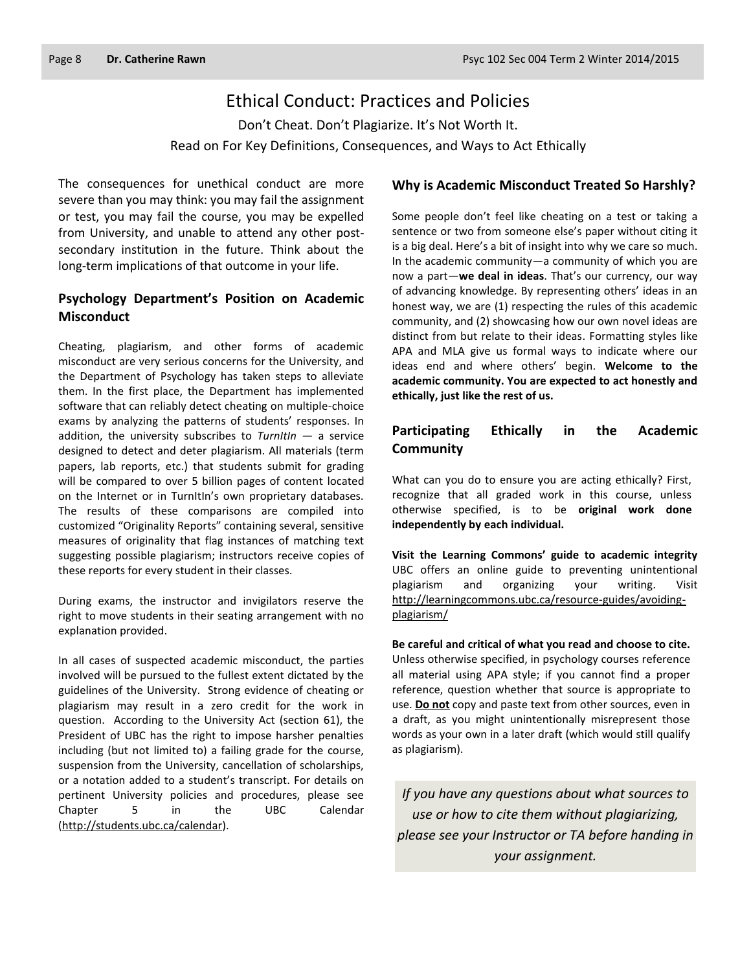## Ethical Conduct: Practices and Policies

Don't Cheat. Don't Plagiarize. It's Not Worth It. Read on For Key Definitions, Consequences, and Ways to Act Ethically

The consequences for unethical conduct are more severe than you may think: you may fail the assignment or test, you may fail the course, you may be expelled from University, and unable to attend any other postsecondary institution in the future. Think about the long-term implications of that outcome in your life.

#### **Psychology Department's Position on Academic Misconduct**

Cheating, plagiarism, and other forms of academic misconduct are very serious concerns for the University, and the Department of Psychology has taken steps to alleviate them. In the first place, the Department has implemented software that can reliably detect cheating on multiple-choice exams by analyzing the patterns of students' responses. In addition, the university subscribes to *TurnItIn* — a service designed to detect and deter plagiarism. All materials (term papers, lab reports, etc.) that students submit for grading will be compared to over 5 billion pages of content located on the Internet or in TurnItIn's own proprietary databases. The results of these comparisons are compiled into customized "Originality Reports" containing several, sensitive measures of originality that flag instances of matching text suggesting possible plagiarism; instructors receive copies of these reports for every student in their classes.

During exams, the instructor and invigilators reserve the right to move students in their seating arrangement with no explanation provided.

In all cases of suspected academic misconduct, the parties involved will be pursued to the fullest extent dictated by the guidelines of the University. Strong evidence of cheating or plagiarism may result in a zero credit for the work in question. According to the University Act (section 61), the President of UBC has the right to impose harsher penalties including (but not limited to) a failing grade for the course, suspension from the University, cancellation of scholarships, or a notation added to a student's transcript. For details on pertinent University policies and procedures, please see Chapter 5 in the UBC Calendar [\(http://students.ubc.ca/calendar\)](http://students.ubc.ca/calendar).

#### **Why is Academic Misconduct Treated So Harshly?**

Some people don't feel like cheating on a test or taking a sentence or two from someone else's paper without citing it is a big deal. Here's a bit of insight into why we care so much. In the academic community—a community of which you are now a part—**we deal in ideas**. That's our currency, our way of advancing knowledge. By representing others' ideas in an honest way, we are (1) respecting the rules of this academic community, and (2) showcasing how our own novel ideas are distinct from but relate to their ideas. Formatting styles like APA and MLA give us formal ways to indicate where our ideas end and where others' begin. **Welcome to the academic community. You are expected to act honestly and ethically, just like the rest of us.**

#### **Participating Ethically in the Academic Community**

What can you do to ensure you are acting ethically? First, recognize that all graded work in this course, unless otherwise specified, is to be **original work done independently by each individual.**

**Visit the Learning Commons' guide to academic integrity**  UBC offers an online guide to preventing unintentional plagiarism and organizing your writing. Visit [http://learningcommons.ubc.ca/resource-guides/avoiding](http://learningcommons.ubc.ca/resource-guides/avoiding-plagiarism/)[plagiarism/](http://learningcommons.ubc.ca/resource-guides/avoiding-plagiarism/)

**Be careful and critical of what you read and choose to cite.** Unless otherwise specified, in psychology courses reference all material using APA style; if you cannot find a proper reference, question whether that source is appropriate to use. **Do not** copy and paste text from other sources, even in a draft, as you might unintentionally misrepresent those words as your own in a later draft (which would still qualify as plagiarism).

*If you have any questions about what sources to use or how to cite them without plagiarizing, please see your Instructor or TA before handing in your assignment.*